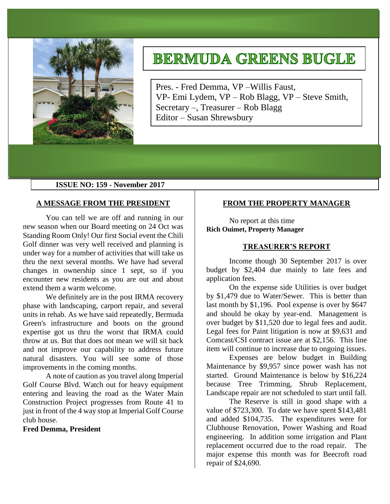

# **BERMUDA GREENS BUGLE**

Pres. - Fred Demma, VP –Willis Faust, VP- Emi Lydem, VP – Rob Blagg, VP – Steve Smith, Secretary –, Treasurer – Rob Blagg Editor – Susan Shrewsbury

# **ISSUE NO: 159 - November 2017**

## **A MESSAGE FROM THE PRESIDENT**

You can tell we are off and running in our new season when our Board meeting on 24 Oct was Standing Room Only! Our first Social event the Chili Golf dinner was very well received and planning is under way for a number of activities that will take us thru the next several months. We have had several changes in ownership since 1 sept, so if you encounter new residents as you are out and about extend them a warm welcome.

We definitely are in the post IRMA recovery phase with landscaping, carport repair, and several units in rehab. As we have said repeatedly, Bermuda Green's infrastructure and boots on the ground expertise got us thru the worst that IRMA could throw at us. But that does not mean we will sit back and not improve our capability to address future natural disasters. You will see some of those improvements in the coming months.

A note of caution as you travel along Imperial Golf Course Blvd. Watch out for heavy equipment entering and leaving the road as the Water Main Construction Project progresses from Route 41 to just in front of the 4 way stop at Imperial Golf Course club house.

**Fred Demma, President**

# **FROM THE PROPERTY MANAGER**

No report at this time **Rich Ouimet, Property Manager**

#### **TREASURER'S REPORT**

Income though 30 September 2017 is over budget by \$2,404 due mainly to late fees and application fees.

On the expense side Utilities is over budget by \$1,479 due to Water/Sewer. This is better than last month by \$1,196. Pool expense is over by \$647 and should be okay by year-end. Management is over budget by \$11,520 due to legal fees and audit. Legal fees for Paint litigation is now at \$9,631 and Comcast/CSI contract issue are at \$2,156. This line item will continue to increase due to ongoing issues.

Expenses are below budget in Building Maintenance by \$9,957 since power wash has not started. Ground Maintenance is below by \$16,224 because Tree Trimming, Shrub Replacement, Landscape repair are not scheduled to start until fall.

The Reserve is still in good shape with a value of \$723,300. To date we have spent \$143,481 and added \$104,735. The expenditures were for Clubhouse Renovation, Power Washing and Road engineering. In addition some irrigation and Plant replacement occurred due to the road repair. The major expense this month was for Beecroft road repair of \$24,690.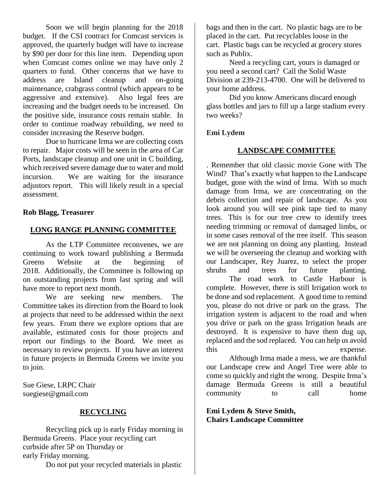Soon we will begin planning for the 2018 budget. If the CSI contract for Comcast services is approved, the quarterly budget will have to increase by \$90 per door for this line item. Depending upon when Comcast comes online we may have only 2 quarters to fund. Other concerns that we have to address are Island cleanup and on-going maintenance, crabgrass control (which appears to be aggressive and extensive). Also legal fees are increasing and the budget needs to be increased. On the positive side, insurance costs remain stable. In order to continue roadway rebuilding, we need to consider increasing the Reserve budget.

Due to hurricane Irma we are collecting costs to repair. Major costs will be seen in the area of Car Ports, landscape cleanup and one unit in C building, which received severe damage due to water and mold incursion. We are waiting for the insurance adjustors report. This will likely result in a special assessment.

# **Rob Blagg, Treasurer**

# **LONG RANGE PLANNING COMMITTEE**

As the LTP Committee reconvenes, we are continuing to work toward publishing a Bermuda Greens Website at the beginning of 2018. Additionally, the Committee is following up on outstanding projects from last spring and will have more to report next month.

We are seeking new members. The Committee takes its direction from the Board to look at projects that need to be addressed within the next few years. From there we explore options that are available, estimated costs for those projects and report our findings to the Board. We meet as necessary to review projects. If you have an interest in future projects in Bermuda Greens we invite you to join.

Sue Giese, LRPC Chair suegiese@gmail.com

## **RECYCLING**

Recycling pick up is early Friday morning in Bermuda Greens. Place your recycling cart curbside after 5P on Thursday or early Friday morning.

Do not put your recycled materials in plastic

bags and then in the cart. No plastic bags are to be placed in the cart. Put recyclables loose in the cart. Plastic bags can be recycled at grocery stores such as Publix.

Need a recycling cart, yours is damaged or you need a second cart? Call the Solid Waste Division at [239-213-4700.](tel:239-213-4700) One will be delivered to your home address.

Did you know Americans discard enough glass bottles and jars to fill up a large stadium every two weeks?

# **Emi Lydem**

## **LANDSCAPE COMMITTEE**

. Remember that old classic movie Gone with The Wind? That's exactly what happen to the Landscape budget, gone with the wind of Irma. With so much damage from Irma, we are concentrating on the debris collection and repair of landscape. As you look around you will see pink tape tied to many trees. This is for our tree crew to identify trees needing trimming or removal of damaged limbs, or in some cases removal of the tree itself. This season we are not planning on doing any planting. Instead we will be overseeing the cleanup and working with our Landscaper, Rey Juarez, to select the proper shrubs and trees for future planting.

The road work to Castle Harbour is complete. However, there is still Irrigation work to be done and sod replacement. A good time to remind you, please do not drive or park on the grass. The irrigation system is adjacent to the road and when you drive or park on the grass Irrigation heads are destroyed. It is expensive to have them dug up, replaced and the sod replaced. You can help us avoid this expense.

Although Irma made a mess, we are thankful our Landscape crew and Angel Tree were able to come so quickly and right the wrong. Despite Irma's damage Bermuda Greens is still a beautiful community to call home

**Emi Lydem & Steve Smith, Chairs Landscape Committee**